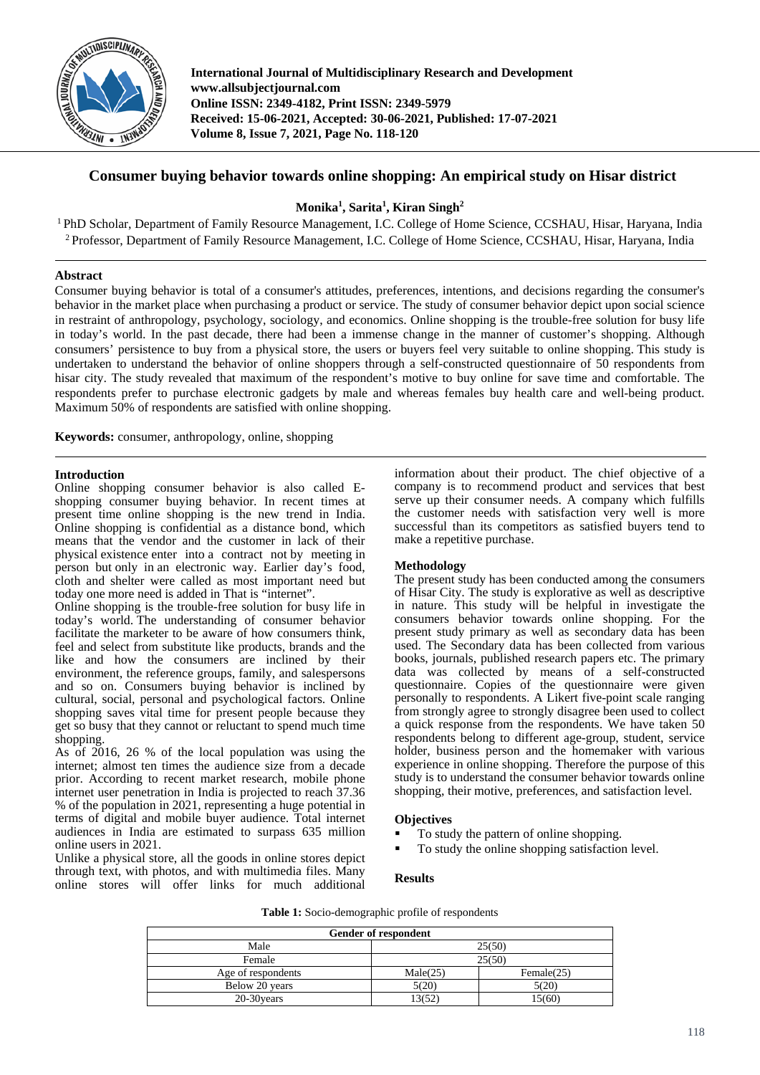

**International Journal of Multidisciplinary Research and Development www.allsubjectjournal.com Online ISSN: 2349-4182, Print ISSN: 2349-5979 Received: 15-06-2021, Accepted: 30-06-2021, Published: 17-07-2021 Volume 8, Issue 7, 2021, Page No. 118-120**

# **Consumer buying behavior towards online shopping: An empirical study on Hisar district**

**Monika1 , Sarita1 , Kiran Singh2**

1 PhD Scholar, Department of Family Resource Management, I.C. College of Home Science, CCSHAU, Hisar, Haryana, India <sup>2</sup> Professor, Department of Family Resource Management, I.C. College of Home Science, CCSHAU, Hisar, Haryana, India

## **Abstract**

Consumer buying behavior is total of a consumer's attitudes, preferences, intentions, and decisions regarding the consumer's behavior in the market place when purchasing a product or service. The study of consumer behavior depict upon social science in restraint of anthropology, psychology, sociology, and economics. Online shopping is the trouble-free solution for busy life in today's world. In the past decade, there had been a immense change in the manner of customer's shopping. Although consumers' persistence to buy from a physical store, the users or buyers feel very suitable to online shopping. This study is undertaken to understand the behavior of online shoppers through a self-constructed questionnaire of 50 respondents from hisar city. The study revealed that maximum of the respondent's motive to buy online for save time and comfortable. The respondents prefer to purchase electronic gadgets by male and whereas females buy health care and well-being product. Maximum 50% of respondents are satisfied with online shopping.

**Keywords:** consumer, anthropology, online, shopping

#### **Introduction**

Online shopping consumer behavior is also called Eshopping consumer buying behavior. In recent times at present time online shopping is the new trend in India. Online shopping is confidential as a distance bond, which means that the vendor and the customer in lack of their physical existence enter into a contract not by meeting in person but only in an electronic way. Earlier day's food, cloth and shelter were called as most important need but today one more need is added in That is "internet".

Online shopping is the trouble-free solution for busy life in today's world. The understanding of consumer behavior facilitate the marketer to be aware of how consumers think, feel and select from substitute like products, brands and the like and how the consumers are inclined by their environment, the reference groups, family, and salespersons and so on. Consumers buying behavior is inclined by cultural, social, personal and psychological factors. Online shopping saves vital time for present people because they get so busy that they cannot or reluctant to spend much time shopping.

As of 2016, 26 % of the local population was using the internet; almost ten times the audience size from a decade prior. According to recent market research, mobile phone internet user penetration in India is projected to reach 37.36 % of the population in 2021, representing a huge potential in terms of digital and mobile buyer audience. Total internet audiences in India are estimated to surpass 635 million online users in 2021.

Unlike a physical store, all the goods in online stores depict through text, with photos, and with multimedia files. Many online stores will offer links for much additional

information about their product. The chief objective of a company is to recommend product and services that best serve up their consumer needs. A company which fulfills the customer needs with satisfaction very well is more successful than its competitors as satisfied buyers tend to make a repetitive purchase.

#### **Methodology**

The present study has been conducted among the consumers of Hisar City. The study is explorative as well as descriptive in nature. This study will be helpful in investigate the consumers behavior towards online shopping. For the present study primary as well as secondary data has been used. The Secondary data has been collected from various books, journals, published research papers etc. The primary data was collected by means of a self-constructed questionnaire. Copies of the questionnaire were given personally to respondents. A Likert five-point scale ranging from strongly agree to strongly disagree been used to collect a quick response from the respondents. We have taken 50 respondents belong to different age-group, student, service holder, business person and the homemaker with various experience in online shopping. Therefore the purpose of this study is to understand the consumer behavior towards online shopping, their motive, preferences, and satisfaction level.

#### **Objectives**

- To study the pattern of online shopping.
- To study the online shopping satisfaction level.

### **Results**

| Gender of respondent |          |               |  |
|----------------------|----------|---------------|--|
| Male                 | 25(50)   |               |  |
| Female               | 25(50)   |               |  |
| Age of respondents   | Male(25) | Female $(25)$ |  |
| Below 20 years       | 5(20)    | 5(20)         |  |
| $20-30$ years        | 13(52)   | 15(60)        |  |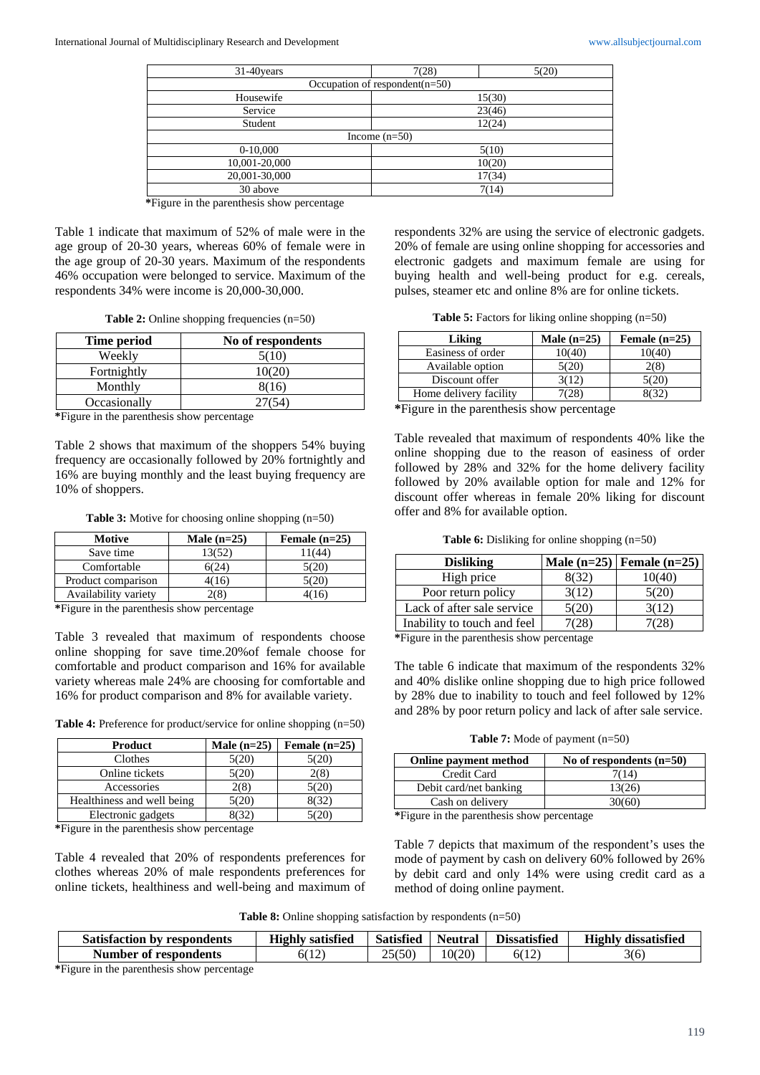| $31-40$ years                      | 7(28)           | 5(20)  |  |
|------------------------------------|-----------------|--------|--|
| Occupation of respondent( $n=50$ ) |                 |        |  |
| Housewife                          |                 | 15(30) |  |
| Service                            | 23(46)          |        |  |
| Student                            | 12(24)          |        |  |
|                                    | Income $(n=50)$ |        |  |
| $0-10,000$                         | 5(10)           |        |  |
| 10,001-20,000                      | 10(20)          |        |  |
| 20,001-30,000                      | 17(34)          |        |  |
| 30 above                           | 7(14)           |        |  |

**\***Figure in the parenthesis show percentage

Table 1 indicate that maximum of 52% of male were in the age group of 20-30 years, whereas 60% of female were in the age group of 20-30 years. Maximum of the respondents 46% occupation were belonged to service. Maximum of the respondents 34% were income is 20,000-30,000.

**Table 2:** Online shopping frequencies (n=50)

| Time period  | No of respondents |
|--------------|-------------------|
| Weekly       | 5(10)             |
| Fortnightly  | 10(20)            |
| Monthly      | 8(16)             |
| Occasionally | 27(54)            |

**\***Figure in the parenthesis show percentage

Table 2 shows that maximum of the shoppers 54% buying frequency are occasionally followed by 20% fortnightly and 16% are buying monthly and the least buying frequency are 10% of shoppers.

**Table 3:** Motive for choosing online shopping (n=50)

| Male $(n=25)$ | Female $(n=25)$ |
|---------------|-----------------|
| 13(52)        | 11(44)          |
| 6(24)         | 5(20)           |
| 4(16)         | 5(20)           |
|               | 16              |
|               |                 |

**\***Figure in the parenthesis show percentage

Table 3 revealed that maximum of respondents choose online shopping for save time.20%of female choose for comfortable and product comparison and 16% for available variety whereas male 24% are choosing for comfortable and 16% for product comparison and 8% for available variety.

Table 4: Preference for product/service for online shopping (n=50)

| Product                    | Male $(n=25)$ | Female $(n=25)$ |
|----------------------------|---------------|-----------------|
| Clothes                    | 5(20)         | 5(20)           |
| Online tickets             | 5(20)         | 2(8)            |
| Accessories                | 2(8)          | 5(20)           |
| Healthiness and well being | 5(20)         | 8(32)           |
| Electronic gadgets         | (32)          | 5(20)           |

**\***Figure in the parenthesis show percentage

Table 4 revealed that 20% of respondents preferences for clothes whereas 20% of male respondents preferences for online tickets, healthiness and well-being and maximum of respondents 32% are using the service of electronic gadgets. 20% of female are using online shopping for accessories and electronic gadgets and maximum female are using for buying health and well-being product for e.g. cereals, pulses, steamer etc and online 8% are for online tickets.

**Table 5:** Factors for liking online shopping (n=50)

| Liking                                                                                                                                    | Male $(n=25)$ | Female $(n=25)$ |
|-------------------------------------------------------------------------------------------------------------------------------------------|---------------|-----------------|
| Easiness of order                                                                                                                         | 10(40)        | 10(40)          |
| Available option                                                                                                                          | 5(20)         | 2(8)            |
| Discount offer                                                                                                                            | 3(12)         | 5(20)           |
| Home delivery facility                                                                                                                    | 7(28)         | 8(32)           |
| $\mathbf{F}$ , and the set of $\mathbf{F}$ , and $\mathbf{F}$ , and $\mathbf{F}$ , and $\mathbf{F}$ , and $\mathbf{F}$ , and $\mathbf{F}$ |               |                 |

**\***Figure in the parenthesis show percentage

Table revealed that maximum of respondents 40% like the online shopping due to the reason of easiness of order followed by 28% and 32% for the home delivery facility followed by 20% available option for male and 12% for discount offer whereas in female 20% liking for discount offer and 8% for available option.

**Table 6:** Disliking for online shopping (n=50)

|       | Male $(n=25)$ Female $(n=25)$ |
|-------|-------------------------------|
| 8(32) | 10(40)                        |
| 3(12) | 5(20)                         |
| 5(20) | 3(12)                         |
|       |                               |
|       |                               |

**\***Figure in the parenthesis show percentage

The table 6 indicate that maximum of the respondents 32% and 40% dislike online shopping due to high price followed by 28% due to inability to touch and feel followed by 12% and 28% by poor return policy and lack of after sale service.

**Table 7:** Mode of payment (n=50)

| Online payment method                                                                                                                                                                                                              | No of respondents $(n=50)$ |  |  |
|------------------------------------------------------------------------------------------------------------------------------------------------------------------------------------------------------------------------------------|----------------------------|--|--|
| Credit Card                                                                                                                                                                                                                        | 7(14)                      |  |  |
| Debit card/net banking                                                                                                                                                                                                             | 13(26)                     |  |  |
| Cash on delivery                                                                                                                                                                                                                   | 30(60)                     |  |  |
| $\bullet$ . The contract of the contract of the contract of the contract of the contract of the contract of the contract of the contract of the contract of the contract of the contract of the contract of the contract of the co |                            |  |  |

**\***Figure in the parenthesis show percentage

Table 7 depicts that maximum of the respondent's uses the mode of payment by cash on delivery 60% followed by 26% by debit card and only 14% were using credit card as a method of doing online payment.

**Table 8:** Online shopping satisfaction by respondents (n=50)

| <b>Satisfaction by respondents</b> | <b>Highly satisfied</b> | <b>Satisfied</b> | Neutral | <b>Dissatisfied</b> | <b>Highly</b><br>dissatisfied |
|------------------------------------|-------------------------|------------------|---------|---------------------|-------------------------------|
| Number of respondents              | (12)<br>6(12)           | 25(50)           | 10(20)  | 6(12)               | 3(6)                          |

**\***Figure in the parenthesis show percentage